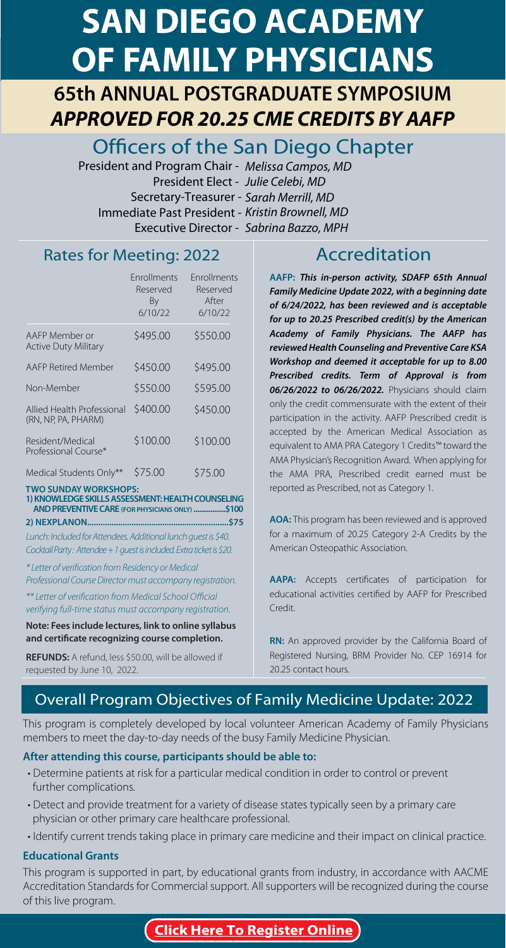# **SAN DIEGO ACADEMY<br>OF FAMILY PHYSICIANS**

**CORPORATE ANNUAL POSTGRADUATE SYMPOSIUM** *APPROVED FOR 20.25 CME CREDITS BY AAFP*

Officers of the San Diego Chapter

President and Program Chair - *Melissa Campos, MD* President Elect - *Julie Celebi, MD* Secretary-Treasurer - *Sarah Merrill, MD* Immediate Past President - *Kristin Brownell, MD* Executive Director - *Sabrina Bazzo, MPH*

### Rates for Meeting: 2022 Accreditation

|                                                   | <b>Fnrollments</b><br>Reserved<br>By<br>6/10/22 | <b>Fnrollments</b><br>Reserved<br>After<br>6/10/22 |
|---------------------------------------------------|-------------------------------------------------|----------------------------------------------------|
| AAFP Member or<br><b>Active Duty Military</b>     | \$495.00                                        | \$550.00                                           |
| AAFP Retired Member                               | \$450.00                                        | \$495.00                                           |
| Non-Member                                        | \$550.00                                        | \$595.00                                           |
| Allied Health Professional<br>(RN, NP, PA, PHARM) | \$400.00                                        | \$450.00                                           |
| Resident/Medical<br>Professional Course*          | \$100.00                                        | \$100.00                                           |
| Medical Students Only**                           | \$75.00                                         | \$75.00                                            |
| <b>TWO SUNDAY WORKSHOPS:</b>                      |                                                 | <b>IF A LIFE LICOL IN LOFE IN L</b>                |

**1) KNOWLEDGE SKILLS ASSESSMENT: HEALTH COUNSELING AND PREVENTIVE CARE (FOR PHYSICIANS ONLY) .................\$100 2) NEXPLANON................................................................\$75**

Lunch: Included for Attendees. Additional lunch guest is \$40. Cocktail Party : Attendee + 1 guest is included. Extra ticket is \$20.

\* Letter of verification from Residency or Medical Professional Course Director must accompany registration.

\*\* Letter of verification from Medical School Official verifying full-time status must accompany registration.

**Note: Fees include lectures, link to online syllabus and certificate recognizing course completion.**

**REFUNDS:** A refund, less \$50.00, will be allowed if requested by June 10, 2022.

**AAFP:** *This in-person activity, SDAFP 65th Annual Family Medicine Update 2022, with a beginning date of 6/24/2022, has been reviewed and is acceptable for up to 20.25 Prescribed credit(s) by the American Academy of Family Physicians. The AAFP has reviewed Health Counseling and Preventive Care KSA Workshop and deemed it acceptable for up to 8.00 Prescribed credits. Term of Approval is from 06/26/2022 to 06/26/2022.* Physicians should claim only the credit commensurate with the extent of their participation in the activity. AAFP Prescribed credit is accepted by the American Medical Association as equivalent to AMA PRA Category 1 Credits™ toward the AMA Physician's Recognition Award. When applying for the AMA PRA, Prescribed credit earned must be reported as Prescribed, not as Category 1.

**AOA:** This program has been reviewed and is approved for a maximum of 20.25 Category 2-A Credits by the American Osteopathic Association.

**AAPA:** Accepts certificates of participation for educational activities certified by AAFP for Prescribed Credit.

**RN:** An approved provider by the California Board of Registered Nursing, BRM Provider No. CEP 16914 for 20.25 contact hours.

#### Overall Program Objectives of Family Medicine Update: 2022

This program is completely developed by local volunteer American Academy of Family Physicians members to meet the day-to-day needs of the busy Family Medicine Physician.

#### **After attending this course, participants should be able to:**

- Determine patients at risk for a particular medical condition in order to control or prevent further complications.
- Detect and provide treatment for a variety of disease states typically seen by a primary care physician or other primary care healthcare professional.
- Identify current trends taking place in primary care medicine and their impact on clinical practice.

#### **Educational Grants**

This program is supported in part, by educational grants from industry, in accordance with AACME Accreditation Standards for Commercial support. All supporters will be recognized during the course of this live program.

**[Click Here To Register Online](www.tinyurl.com/sdafp22)**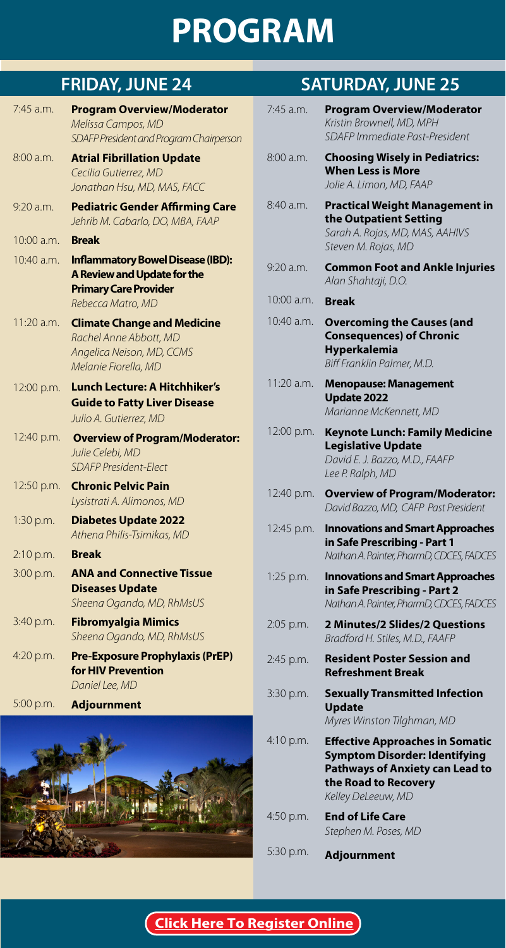# **PROGRAM**

| $7:45$ a.m.  | <b>Program Overview/Moderator</b><br>Melissa Campos, MD<br>SDAFP President and Program Chairperson                           |
|--------------|------------------------------------------------------------------------------------------------------------------------------|
| 8:00 a.m.    | <b>Atrial Fibrillation Update</b><br>Cecilia Gutierrez, MD<br>Jonathan Hsu, MD, MAS, FACC                                    |
| $9:20$ a.m.  | <b>Pediatric Gender Affirming Care</b><br>Jehrib M. Cabarlo, DO, MBA, FAAP                                                   |
| $10:00$ a.m. | <b>Break</b>                                                                                                                 |
| $10:40$ a.m. | <b>Inflammatory Bowel Disease (IBD):</b><br>A Review and Update for the<br><b>Primary Care Provider</b><br>Rebecca Matro, MD |
| 11:20 a.m.   | <b>Climate Change and Medicine</b><br>Rachel Anne Abbott, MD<br>Angelica Neison, MD, CCMS<br>Melanie Fiorella, MD            |
| 12:00 p.m.   | <b>Lunch Lecture: A Hitchhiker's</b><br><b>Guide to Fatty Liver Disease</b><br>Julio A. Gutierrez, MD                        |
| 12:40 p.m.   | <b>Overview of Program/Moderator:</b><br>Julie Celebi, MD<br><b>SDAFP President-Flect</b>                                    |
| 12:50 p.m.   | <b>Chronic Pelvic Pain</b><br>Lysistrati A. Alimonos, MD                                                                     |
| 1:30 p.m.    | <b>Diabetes Update 2022</b><br>Athena Philis-Tsimikas, MD                                                                    |
| $2:10$ p.m.  | <b>Break</b>                                                                                                                 |
| 3:00 p.m.    | <b>ANA and Connective Tissue</b><br><b>Diseases Update</b><br>Sheena Ogando, MD, RhMsUS                                      |
| 3:40 p.m.    | <b>Fibromyalgia Mimics</b><br>Sheena Ogando, MD, RhMsUS                                                                      |
| 4:20 p.m.    | <b>Pre-Exposure Prophylaxis (PrEP)</b><br>for HIV Prevention<br>Daniel Lee, MD                                               |
| 5:00 p.m.    | <b>Adjournment</b>                                                                                                           |
|              |                                                                                                                              |



## **FRIDAY, JUNE 24 SATURDAY, JUNE 25**

| 7:45 a.m.  | <b>Program Overview/Moderator</b><br>Kristin Brownell, MD, MPH<br>SDAFP Immediate Past-President                                                                       |
|------------|------------------------------------------------------------------------------------------------------------------------------------------------------------------------|
| 8:00 a.m.  | <b>Choosing Wisely in Pediatrics:</b><br><b>When Less is More</b><br>Jolie A. Limon, MD, FAAP                                                                          |
| 8:40 a.m.  | <b>Practical Weight Management in</b><br>the Outpatient Setting<br>Sarah A. Rojas, MD, MAS, AAHIVS<br>Steven M. Rojas, MD                                              |
| 9:20 a.m.  | <b>Common Foot and Ankle Injuries</b><br>Alan Shahtaji, D.O.                                                                                                           |
| 10:00 a.m. | Break                                                                                                                                                                  |
| 10:40 a.m. | <b>Overcoming the Causes (and</b><br><b>Consequences) of Chronic</b><br><b>Hyperkalemia</b><br>Biff Franklin Palmer, M.D.                                              |
| 11:20 a.m. | <b>Menopause: Management</b><br><b>Update 2022</b><br>Marianne McKennett, MD                                                                                           |
| 12:00 p.m. | <b>Keynote Lunch: Family Medicine</b><br><b>Legislative Update</b><br>David E. J. Bazzo, M.D., FAAFP<br>Lee P. Ralph, MD                                               |
| 12:40 p.m. | <b>Overview of Program/Moderator:</b><br>David Bazzo, MD, CAFP Past President                                                                                          |
| 12:45 p.m. | <b>Innovations and Smart Approaches</b><br>in Safe Prescribing - Part 1<br>Nathan A. Painter, PharmD, CDCES, FADCES                                                    |
| 1:25 p.m.  | <b>Innovations and Smart Approaches</b><br>in Safe Prescribing - Part 2<br>Nathan A. Painter, PharmD, CDCES, FADCES                                                    |
| 2:05 p.m.  | 2 Minutes/2 Slides/2 Questions<br>Bradford H. Stiles, M.D., FAAFP                                                                                                      |
| 2:45 p.m.  | <b>Resident Poster Session and</b><br><b>Refreshment Break</b>                                                                                                         |
| 3:30 p.m.  | <b>Sexually Transmitted Infection</b><br><b>Update</b><br>Myres Winston Tilghman, MD                                                                                   |
| 4:10 p.m.  | <b>Effective Approaches in Somatic</b><br><b>Symptom Disorder: Identifying</b><br><b>Pathways of Anxiety can Lead to</b><br>the Road to Recovery<br>Kelley DeLeeuw, MD |
| 4:50 p.m.  | <b>End of Life Care</b><br>Stephen M. Poses, MD                                                                                                                        |
| 5:30 p.m.  | <b>Adjournment</b>                                                                                                                                                     |

**[Click Here To Register Online](www.tinyurl.com/sdafp22)**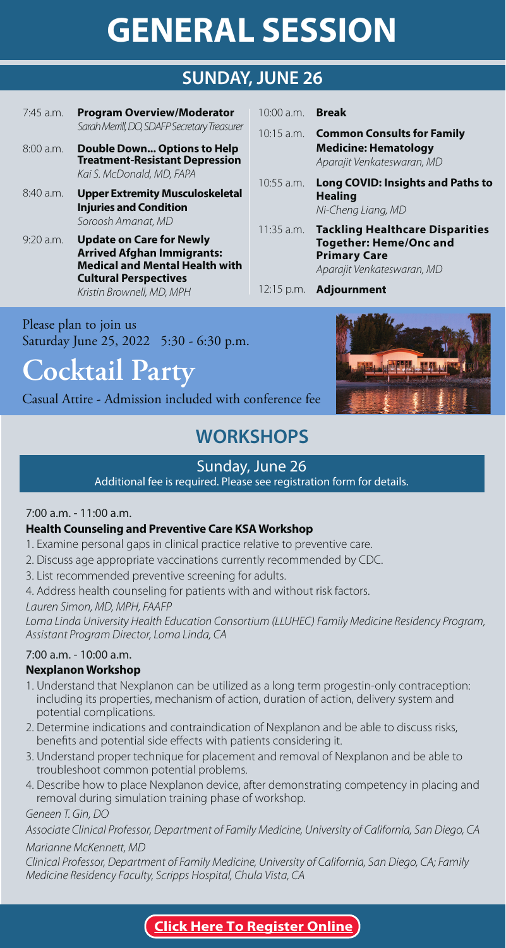# **GENERAL SERVICE 26**

### **SUNDAY, JUNE 26**

10:00 a.m. 10:15 a.m.

10:55 a.m.

11:35 a.m.

- 7:45 a.m. **Program Overview/Moderator** *Sarah Merrill, DO, SDAFP Secretary Treasurer*
- 8:00 a.m. **Double Down... Options to Help Treatment-Resistant Depression** *Kai S. McDonald, MD, FAPA*
- 8:40 a.m. **Upper Extremity Musculoskeletal Injuries and Condition** *Soroosh Amanat, MD*
- 9:20 a.m. **Update on Care for Newly Medical and Mental Health with Cultural Perspectives Cultural Perspectives** *Kristin Brownell, MD, MPH*

Please plan to join us Saturday June 25, 2022 5:30 - 6:30 p.m.

**Cocktail Party**

Casual Attire - Admission included with conference fee

## **WORKSHOPS**

### Sunday, June 26

Additional fee is required. Please see registration form for details.

#### 7:00 a.m. - 11:00 a.m.

- 1. Examine personal gaps in clinical practice relative to preventive care.
- 2. Discuss age appropriate vaccinations currently recommended by CDC.
- 3. List recommended preventive screening for adults.

4. Address health counseling for patients with and without risk factors.

*Lauren Simon, MD, MPH, FAAFP*

*Loma Linda University Health Education Consortium (LLUHEC) Family Medicine Residency Program, Assistant Program Director, Loma Linda, CA*

#### 7:00 a.m. - 10:00 a.m.

- 1. Understand that Nexplanon can be utilized as a long term progestin-only contraception: including its properties, mechanism of action, duration of action, delivery system and potential complications.
- 2. Determine indications and contraindication of Nexplanon and be able to discuss risks, benefits and potential side effects with patients considering it.
- 3. Understand proper technique for placement and removal of Nexplanon and be able to troubleshoot common potential problems.
- 4. Describe how to place Nexplanon device, after demonstrating competency in placing and removal during simulation training phase of workshop.

*Geneen T. Gin, DO* 

*Associate Clinical Professor, Department of Family Medicine, University of California, San Diego, CA Marianne McKennett, MD* 

*Clinical Professor, Department of Family Medicine, University of California, San Diego, CA; Family Medicine Residency Faculty, Scripps Hospital, Chula Vista, CA*



**Common Consults for Family Medicine: Hematology** *Aparajit Venkateswaran, MD*

**Healing** *Ni-Cheng Liang, MD*

**Primary Care** 

12:15 p.m. **Adjournment** 

**Long COVID: Insights and Paths to** 

**Tackling Healthcare Disparities** 

**Primary Care** *Aparajit Venkateswaran, MD*

#### **[Click Here To Register Online](www.tinyurl.com/sdafp22)**